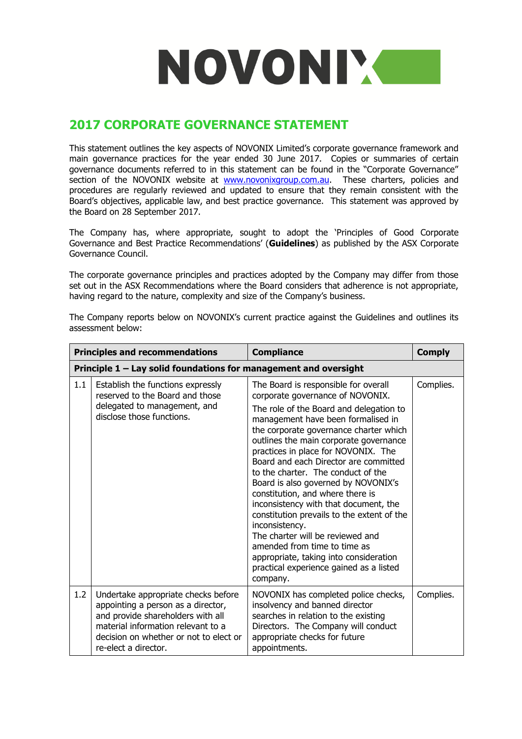

## **2017 CORPORATE GOVERNANCE STATEMENT**

This statement outlines the key aspects of NOVONIX Limited's corporate governance framework and main governance practices for the year ended 30 June 2017. Copies or summaries of certain governance documents referred to in this statement can be found in the "Corporate Governance" section of the NOVONIX website at [www.novonixgroup.com.au.](http://www.novonixgroup.com.au/) These charters, policies and procedures are regularly reviewed and updated to ensure that they remain consistent with the Board's objectives, applicable law, and best practice governance. This statement was approved by the Board on 28 September 2017.

The Company has, where appropriate, sought to adopt the 'Principles of Good Corporate Governance and Best Practice Recommendations' (**Guidelines**) as published by the ASX Corporate Governance Council.

The corporate governance principles and practices adopted by the Company may differ from those set out in the ASX Recommendations where the Board considers that adherence is not appropriate, having regard to the nature, complexity and size of the Company's business.

|                                                                  | <b>Principles and recommendations</b>                                                                                                                                                                                  | <b>Compliance</b>                                                                                                                                                                                                                                                                                                                                                                                                                                                                                                                                                                                                                                                                                                            | <b>Comply</b> |
|------------------------------------------------------------------|------------------------------------------------------------------------------------------------------------------------------------------------------------------------------------------------------------------------|------------------------------------------------------------------------------------------------------------------------------------------------------------------------------------------------------------------------------------------------------------------------------------------------------------------------------------------------------------------------------------------------------------------------------------------------------------------------------------------------------------------------------------------------------------------------------------------------------------------------------------------------------------------------------------------------------------------------------|---------------|
| Principle 1 – Lay solid foundations for management and oversight |                                                                                                                                                                                                                        |                                                                                                                                                                                                                                                                                                                                                                                                                                                                                                                                                                                                                                                                                                                              |               |
| 1.1                                                              | Establish the functions expressly<br>reserved to the Board and those<br>delegated to management, and<br>disclose those functions.                                                                                      | The Board is responsible for overall<br>corporate governance of NOVONIX.<br>The role of the Board and delegation to<br>management have been formalised in<br>the corporate governance charter which<br>outlines the main corporate governance<br>practices in place for NOVONIX. The<br>Board and each Director are committed<br>to the charter. The conduct of the<br>Board is also governed by NOVONIX's<br>constitution, and where there is<br>inconsistency with that document, the<br>constitution prevails to the extent of the<br>inconsistency.<br>The charter will be reviewed and<br>amended from time to time as<br>appropriate, taking into consideration<br>practical experience gained as a listed<br>company. | Complies.     |
| 1.2                                                              | Undertake appropriate checks before<br>appointing a person as a director,<br>and provide shareholders with all<br>material information relevant to a<br>decision on whether or not to elect or<br>re-elect a director. | NOVONIX has completed police checks,<br>insolvency and banned director<br>searches in relation to the existing<br>Directors. The Company will conduct<br>appropriate checks for future<br>appointments.                                                                                                                                                                                                                                                                                                                                                                                                                                                                                                                      | Complies.     |

The Company reports below on NOVONIX's current practice against the Guidelines and outlines its assessment below: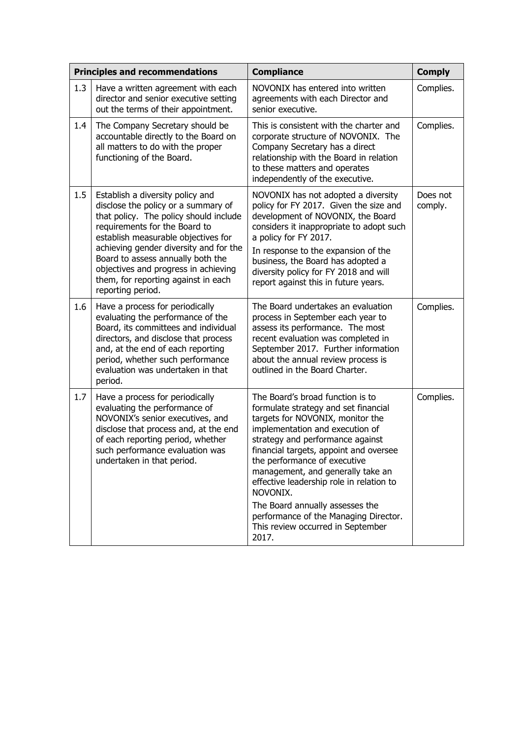| <b>Principles and recommendations</b> |                                                                                                                                                                                                                                                                                                                                                                              | <b>Compliance</b>                                                                                                                                                                                                                                                                                                                                                                                                                                                                    | <b>Comply</b>       |
|---------------------------------------|------------------------------------------------------------------------------------------------------------------------------------------------------------------------------------------------------------------------------------------------------------------------------------------------------------------------------------------------------------------------------|--------------------------------------------------------------------------------------------------------------------------------------------------------------------------------------------------------------------------------------------------------------------------------------------------------------------------------------------------------------------------------------------------------------------------------------------------------------------------------------|---------------------|
| 1.3                                   | Have a written agreement with each<br>director and senior executive setting<br>out the terms of their appointment.                                                                                                                                                                                                                                                           | NOVONIX has entered into written<br>agreements with each Director and<br>senior executive.                                                                                                                                                                                                                                                                                                                                                                                           | Complies.           |
| 1.4                                   | The Company Secretary should be<br>accountable directly to the Board on<br>all matters to do with the proper<br>functioning of the Board.                                                                                                                                                                                                                                    | This is consistent with the charter and<br>corporate structure of NOVONIX. The<br>Company Secretary has a direct<br>relationship with the Board in relation<br>to these matters and operates<br>independently of the executive.                                                                                                                                                                                                                                                      | Complies.           |
| 1.5                                   | Establish a diversity policy and<br>disclose the policy or a summary of<br>that policy. The policy should include<br>requirements for the Board to<br>establish measurable objectives for<br>achieving gender diversity and for the<br>Board to assess annually both the<br>objectives and progress in achieving<br>them, for reporting against in each<br>reporting period. | NOVONIX has not adopted a diversity<br>policy for FY 2017. Given the size and<br>development of NOVONIX, the Board<br>considers it inappropriate to adopt such<br>a policy for FY 2017.<br>In response to the expansion of the<br>business, the Board has adopted a<br>diversity policy for FY 2018 and will<br>report against this in future years.                                                                                                                                 | Does not<br>comply. |
| 1.6                                   | Have a process for periodically<br>evaluating the performance of the<br>Board, its committees and individual<br>directors, and disclose that process<br>and, at the end of each reporting<br>period, whether such performance<br>evaluation was undertaken in that<br>period.                                                                                                | The Board undertakes an evaluation<br>process in September each year to<br>assess its performance. The most<br>recent evaluation was completed in<br>September 2017. Further information<br>about the annual review process is<br>outlined in the Board Charter.                                                                                                                                                                                                                     | Complies.           |
| 1.7                                   | Have a process for periodically<br>evaluating the performance of<br>NOVONIX's senior executives, and<br>disclose that process and, at the end<br>of each reporting period, whether<br>such performance evaluation was<br>undertaken in that period.                                                                                                                          | The Board's broad function is to<br>formulate strategy and set financial<br>targets for NOVONIX, monitor the<br>implementation and execution of<br>strategy and performance against<br>financial targets, appoint and oversee<br>the performance of executive<br>management, and generally take an<br>effective leadership role in relation to<br>NOVONIX.<br>The Board annually assesses the<br>performance of the Managing Director.<br>This review occurred in September<br>2017. | Complies.           |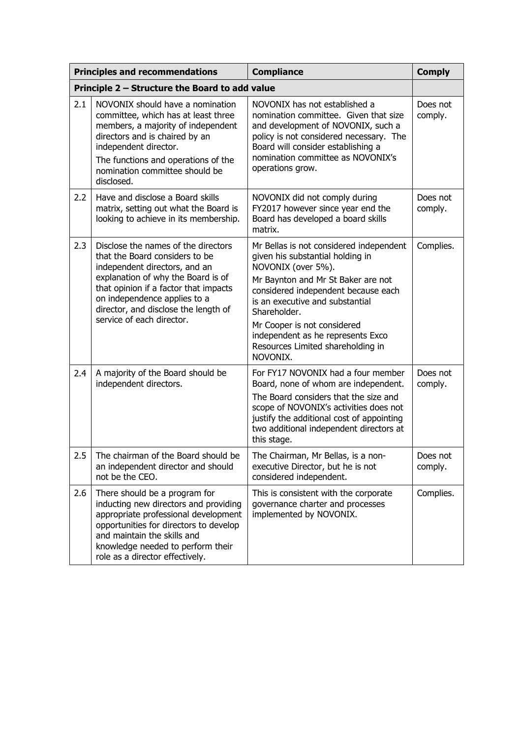| <b>Principles and recommendations</b>          |                                                                                                                                                                                                                                                                                            | <b>Compliance</b>                                                                                                                                                                                                                                                                                                                                      | <b>Comply</b>       |
|------------------------------------------------|--------------------------------------------------------------------------------------------------------------------------------------------------------------------------------------------------------------------------------------------------------------------------------------------|--------------------------------------------------------------------------------------------------------------------------------------------------------------------------------------------------------------------------------------------------------------------------------------------------------------------------------------------------------|---------------------|
| Principle 2 - Structure the Board to add value |                                                                                                                                                                                                                                                                                            |                                                                                                                                                                                                                                                                                                                                                        |                     |
| 2.1                                            | NOVONIX should have a nomination<br>committee, which has at least three<br>members, a majority of independent<br>directors and is chaired by an<br>independent director.<br>The functions and operations of the<br>nomination committee should be<br>disclosed.                            | NOVONIX has not established a<br>nomination committee. Given that size<br>and development of NOVONIX, such a<br>policy is not considered necessary. The<br>Board will consider establishing a<br>nomination committee as NOVONIX's<br>operations grow.                                                                                                 | Does not<br>comply. |
| 2.2                                            | Have and disclose a Board skills<br>matrix, setting out what the Board is<br>looking to achieve in its membership.                                                                                                                                                                         | NOVONIX did not comply during<br>FY2017 however since year end the<br>Board has developed a board skills<br>matrix.                                                                                                                                                                                                                                    | Does not<br>comply. |
| 2.3                                            | Disclose the names of the directors<br>that the Board considers to be<br>independent directors, and an<br>explanation of why the Board is of<br>that opinion if a factor that impacts<br>on independence applies to a<br>director, and disclose the length of<br>service of each director. | Mr Bellas is not considered independent<br>given his substantial holding in<br>NOVONIX (over 5%).<br>Mr Baynton and Mr St Baker are not<br>considered independent because each<br>is an executive and substantial<br>Shareholder.<br>Mr Cooper is not considered<br>independent as he represents Exco<br>Resources Limited shareholding in<br>NOVONIX. | Complies.           |
| 2.4                                            | A majority of the Board should be<br>independent directors.                                                                                                                                                                                                                                | For FY17 NOVONIX had a four member<br>Board, none of whom are independent.<br>The Board considers that the size and<br>scope of NOVONIX's activities does not<br>justify the additional cost of appointing<br>two additional independent directors at<br>this stage.                                                                                   | Does not<br>comply. |
| $2.5\,$                                        | The chairman of the Board should be<br>an independent director and should<br>not be the CEO.                                                                                                                                                                                               | The Chairman, Mr Bellas, is a non-<br>executive Director, but he is not<br>considered independent.                                                                                                                                                                                                                                                     | Does not<br>comply. |
| 2.6                                            | There should be a program for<br>inducting new directors and providing<br>appropriate professional development<br>opportunities for directors to develop<br>and maintain the skills and<br>knowledge needed to perform their<br>role as a director effectively.                            | This is consistent with the corporate<br>governance charter and processes<br>implemented by NOVONIX.                                                                                                                                                                                                                                                   | Complies.           |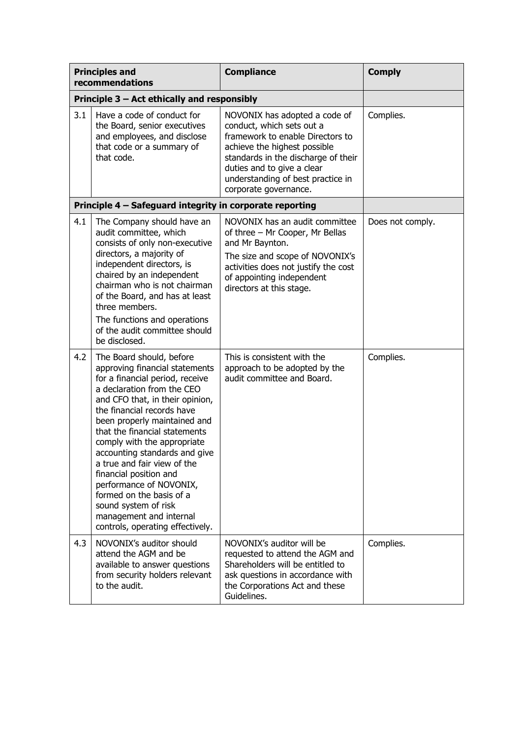| <b>Principles and</b><br>recommendations |                                                                                                                                                                                                                                                                                                                                                                                                                                                                                                                                      | <b>Compliance</b>                                                                                                                                                                                                                                                 | <b>Comply</b>    |
|------------------------------------------|--------------------------------------------------------------------------------------------------------------------------------------------------------------------------------------------------------------------------------------------------------------------------------------------------------------------------------------------------------------------------------------------------------------------------------------------------------------------------------------------------------------------------------------|-------------------------------------------------------------------------------------------------------------------------------------------------------------------------------------------------------------------------------------------------------------------|------------------|
|                                          | Principle 3 - Act ethically and responsibly                                                                                                                                                                                                                                                                                                                                                                                                                                                                                          |                                                                                                                                                                                                                                                                   |                  |
| 3.1                                      | Have a code of conduct for<br>the Board, senior executives<br>and employees, and disclose<br>that code or a summary of<br>that code.                                                                                                                                                                                                                                                                                                                                                                                                 | NOVONIX has adopted a code of<br>conduct, which sets out a<br>framework to enable Directors to<br>achieve the highest possible<br>standards in the discharge of their<br>duties and to give a clear<br>understanding of best practice in<br>corporate governance. | Complies.        |
|                                          | Principle 4 - Safeguard integrity in corporate reporting                                                                                                                                                                                                                                                                                                                                                                                                                                                                             |                                                                                                                                                                                                                                                                   |                  |
| 4.1                                      | The Company should have an<br>audit committee, which<br>consists of only non-executive<br>directors, a majority of<br>independent directors, is<br>chaired by an independent<br>chairman who is not chairman<br>of the Board, and has at least<br>three members.<br>The functions and operations<br>of the audit committee should<br>be disclosed.                                                                                                                                                                                   | NOVONIX has an audit committee<br>of three - Mr Cooper, Mr Bellas<br>and Mr Baynton.<br>The size and scope of NOVONIX's<br>activities does not justify the cost<br>of appointing independent<br>directors at this stage.                                          | Does not comply. |
| 4.2                                      | The Board should, before<br>approving financial statements<br>for a financial period, receive<br>a declaration from the CEO<br>and CFO that, in their opinion,<br>the financial records have<br>been properly maintained and<br>that the financial statements<br>comply with the appropriate<br>accounting standards and give<br>a true and fair view of the<br>financial position and<br>performance of NOVONIX,<br>formed on the basis of a<br>sound system of risk<br>management and internal<br>controls, operating effectively. | This is consistent with the<br>approach to be adopted by the<br>audit committee and Board.                                                                                                                                                                        | Complies.        |
| 4.3                                      | NOVONIX's auditor should<br>attend the AGM and be<br>available to answer questions<br>from security holders relevant<br>to the audit.                                                                                                                                                                                                                                                                                                                                                                                                | NOVONIX's auditor will be<br>requested to attend the AGM and<br>Shareholders will be entitled to<br>ask questions in accordance with<br>the Corporations Act and these<br>Guidelines.                                                                             | Complies.        |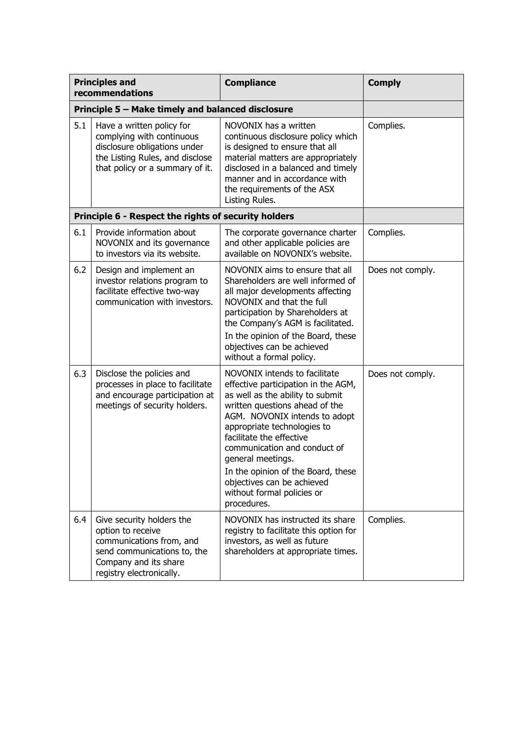| <b>Principles and</b><br>recommendations |                                                                                                                                                                | <b>Compliance</b>                                                                                                                                                                                                                                                                                                                                                                                            | <b>Comply</b>    |
|------------------------------------------|----------------------------------------------------------------------------------------------------------------------------------------------------------------|--------------------------------------------------------------------------------------------------------------------------------------------------------------------------------------------------------------------------------------------------------------------------------------------------------------------------------------------------------------------------------------------------------------|------------------|
|                                          | Principle 5 - Make timely and balanced disclosure                                                                                                              |                                                                                                                                                                                                                                                                                                                                                                                                              |                  |
| 5.1                                      | Have a written policy for<br>complying with continuous<br>disclosure obligations under<br>the Listing Rules, and disclose<br>that policy or a summary of it.   | NOVONIX has a written<br>continuous disclosure policy which<br>is designed to ensure that all<br>material matters are appropriately<br>disclosed in a balanced and timely<br>manner and in accordance with<br>the requirements of the ASX<br>Listing Rules.                                                                                                                                                  | Complies.        |
|                                          | Principle 6 - Respect the rights of security holders                                                                                                           |                                                                                                                                                                                                                                                                                                                                                                                                              |                  |
| 6.1                                      | Provide information about<br>NOVONIX and its governance<br>to investors via its website.                                                                       | The corporate governance charter<br>and other applicable policies are<br>available on NOVONIX's website.                                                                                                                                                                                                                                                                                                     | Complies.        |
| 6.2                                      | Design and implement an<br>investor relations program to<br>facilitate effective two-way<br>communication with investors.                                      | NOVONIX aims to ensure that all<br>Shareholders are well informed of<br>all major developments affecting<br>NOVONIX and that the full<br>participation by Shareholders at<br>the Company's AGM is facilitated.<br>In the opinion of the Board, these<br>objectives can be achieved<br>without a formal policy.                                                                                               | Does not comply. |
| 6.3                                      | Disclose the policies and<br>processes in place to facilitate<br>and encourage participation at<br>meetings of security holders.                               | NOVONIX intends to facilitate<br>effective participation in the AGM,<br>as well as the ability to submit<br>written questions ahead of the<br>AGM. NOVONIX intends to adopt<br>appropriate technologies to<br>facilitate the effective<br>communication and conduct of<br>general meetings.<br>In the opinion of the Board, these<br>objectives can be achieved<br>without formal policies or<br>procedures. | Does not comply. |
| 6.4                                      | Give security holders the<br>option to receive<br>communications from, and<br>send communications to, the<br>Company and its share<br>registry electronically. | NOVONIX has instructed its share<br>registry to facilitate this option for<br>investors, as well as future<br>shareholders at appropriate times.                                                                                                                                                                                                                                                             | Complies.        |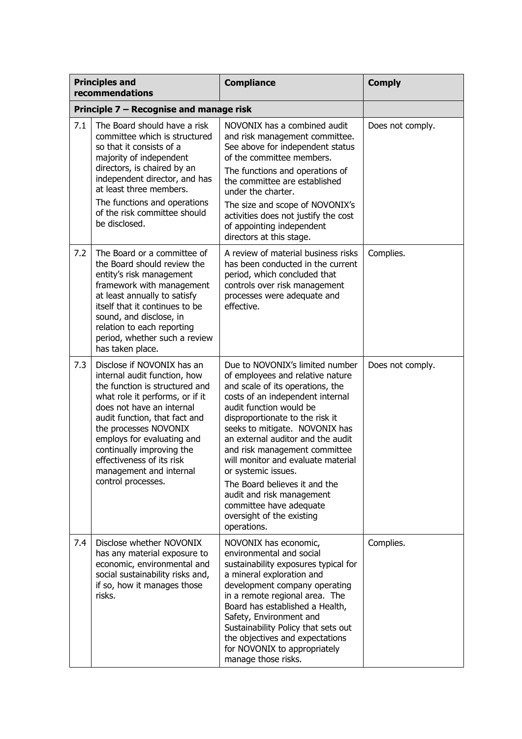| <b>Principles and</b><br>recommendations |                                                                                                                                                                                                                                                                                                                                                                 | <b>Compliance</b>                                                                                                                                                                                                                                                                                                                                                                                                                                                                                                   | <b>Comply</b>    |
|------------------------------------------|-----------------------------------------------------------------------------------------------------------------------------------------------------------------------------------------------------------------------------------------------------------------------------------------------------------------------------------------------------------------|---------------------------------------------------------------------------------------------------------------------------------------------------------------------------------------------------------------------------------------------------------------------------------------------------------------------------------------------------------------------------------------------------------------------------------------------------------------------------------------------------------------------|------------------|
| Principle 7 - Recognise and manage risk  |                                                                                                                                                                                                                                                                                                                                                                 |                                                                                                                                                                                                                                                                                                                                                                                                                                                                                                                     |                  |
| 7.1                                      | The Board should have a risk<br>committee which is structured<br>so that it consists of a<br>majority of independent<br>directors, is chaired by an<br>independent director, and has<br>at least three members.<br>The functions and operations<br>of the risk committee should<br>be disclosed.                                                                | NOVONIX has a combined audit<br>and risk management committee.<br>See above for independent status<br>of the committee members.<br>The functions and operations of<br>the committee are established<br>under the charter.<br>The size and scope of NOVONIX's<br>activities does not justify the cost<br>of appointing independent<br>directors at this stage.                                                                                                                                                       | Does not comply. |
| 7.2                                      | The Board or a committee of<br>the Board should review the<br>entity's risk management<br>framework with management<br>at least annually to satisfy<br>itself that it continues to be<br>sound, and disclose, in<br>relation to each reporting<br>period, whether such a review<br>has taken place.                                                             | A review of material business risks<br>has been conducted in the current<br>period, which concluded that<br>controls over risk management<br>processes were adequate and<br>effective.                                                                                                                                                                                                                                                                                                                              | Complies.        |
| 7.3                                      | Disclose if NOVONIX has an<br>internal audit function, how<br>the function is structured and<br>what role it performs, or if it<br>does not have an internal<br>audit function, that fact and<br>the processes NOVONIX<br>employs for evaluating and<br>continually improving the<br>effectiveness of its risk<br>management and internal<br>control processes. | Due to NOVONIX's limited number<br>of employees and relative nature<br>and scale of its operations, the<br>costs of an independent internal<br>audit function would be<br>disproportionate to the risk it<br>seeks to mitigate. NOVONIX has<br>an external auditor and the audit<br>and risk management committee<br>will monitor and evaluate material<br>or systemic issues.<br>The Board believes it and the<br>audit and risk management<br>committee have adequate<br>oversight of the existing<br>operations. | Does not comply. |
| 7.4                                      | Disclose whether NOVONIX<br>has any material exposure to<br>economic, environmental and<br>social sustainability risks and,<br>if so, how it manages those<br>risks.                                                                                                                                                                                            | NOVONIX has economic,<br>environmental and social<br>sustainability exposures typical for<br>a mineral exploration and<br>development company operating<br>in a remote regional area. The<br>Board has established a Health,<br>Safety, Environment and<br>Sustainability Policy that sets out<br>the objectives and expectations<br>for NOVONIX to appropriately<br>manage those risks.                                                                                                                            | Complies.        |